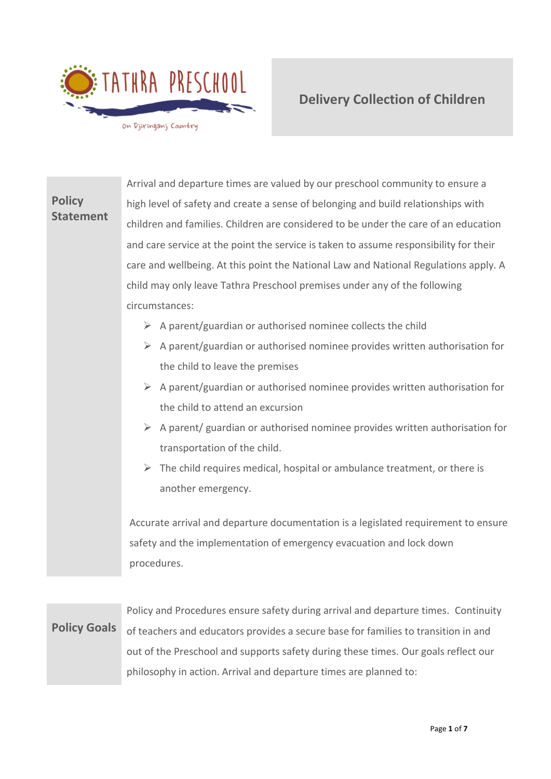

# **Policy Statement** Arrival and departure times are valued by our preschool community to ensure a high level of safety and create a sense of belonging and build relationships with children and families. Children are considered to be under the care of an education and care service at the point the service is taken to assume responsibility for their care and wellbeing. At this point the National Law and National Regulations apply. A child may only leave Tathra Preschool premises under any of the following circumstances:  $\triangleright$  A parent/guardian or authorised nominee collects the child  $\triangleright$  A parent/guardian or authorised nominee provides written authorisation for the child to leave the premises  $\triangleright$  A parent/guardian or authorised nominee provides written authorisation for the child to attend an excursion  $\triangleright$  A parent/ guardian or authorised nominee provides written authorisation for transportation of the child.  $\triangleright$  The child requires medical, hospital or ambulance treatment, or there is another emergency.

Accurate arrival and departure documentation is a legislated requirement to ensure safety and the implementation of emergency evacuation and lock down procedures.

**Policy Goals** Policy and Procedures ensure safety during arrival and departure times. Continuity of teachers and educators provides a secure base for families to transition in and out of the Preschool and supports safety during these times. Our goals reflect our philosophy in action. Arrival and departure times are planned to: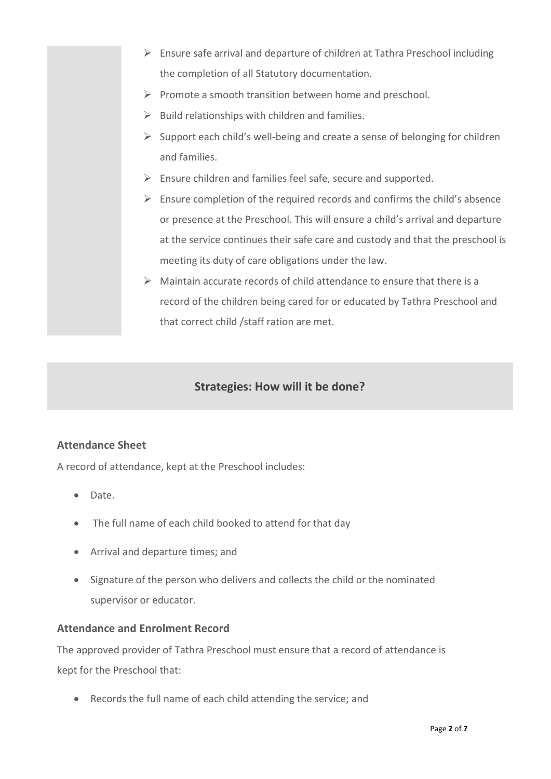- ➢ Ensure safe arrival and departure of children at Tathra Preschool including the completion of all Statutory documentation.
- ➢ Promote a smooth transition between home and preschool.
- $\triangleright$  Build relationships with children and families.
- ➢ Support each child's well-being and create a sense of belonging for children and families.
- ➢ Ensure children and families feel safe, secure and supported.
- $\triangleright$  Ensure completion of the required records and confirms the child's absence or presence at the Preschool. This will ensure a child's arrival and departure at the service continues their safe care and custody and that the preschool is meeting its duty of care obligations under the law.
- ➢ Maintain accurate records of child attendance to ensure that there is a record of the children being cared for or educated by Tathra Preschool and that correct child /staff ration are met.

# **Strategies: How will it be done?**

### **Attendance Sheet**

A record of attendance, kept at the Preschool includes:

- Date.
- The full name of each child booked to attend for that day
- Arrival and departure times; and
- Signature of the person who delivers and collects the child or the nominated supervisor or educator.

### **Attendance and Enrolment Record**

The approved provider of Tathra Preschool must ensure that a record of attendance is kept for the Preschool that:

• Records the full name of each child attending the service; and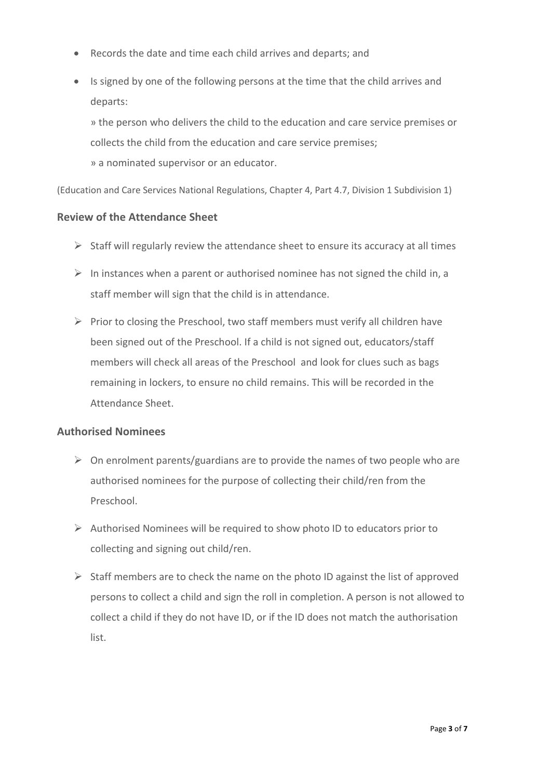- Records the date and time each child arrives and departs; and
- Is signed by one of the following persons at the time that the child arrives and departs:

» the person who delivers the child to the education and care service premises or collects the child from the education and care service premises; » a nominated supervisor or an educator.

(Education and Care Services National Regulations, Chapter 4, Part 4.7, Division 1 Subdivision 1)

#### **Review of the Attendance Sheet**

- $\triangleright$  Staff will regularly review the attendance sheet to ensure its accuracy at all times
- $\triangleright$  In instances when a parent or authorised nominee has not signed the child in, a staff member will sign that the child is in attendance.
- $\triangleright$  Prior to closing the Preschool, two staff members must verify all children have been signed out of the Preschool. If a child is not signed out, educators/staff members will check all areas of the Preschool and look for clues such as bags remaining in lockers, to ensure no child remains. This will be recorded in the Attendance Sheet.

#### **Authorised Nominees**

- $\triangleright$  On enrolment parents/guardians are to provide the names of two people who are authorised nominees for the purpose of collecting their child/ren from the Preschool.
- ➢ Authorised Nominees will be required to show photo ID to educators prior to collecting and signing out child/ren.
- $\triangleright$  Staff members are to check the name on the photo ID against the list of approved persons to collect a child and sign the roll in completion. A person is not allowed to collect a child if they do not have ID, or if the ID does not match the authorisation list.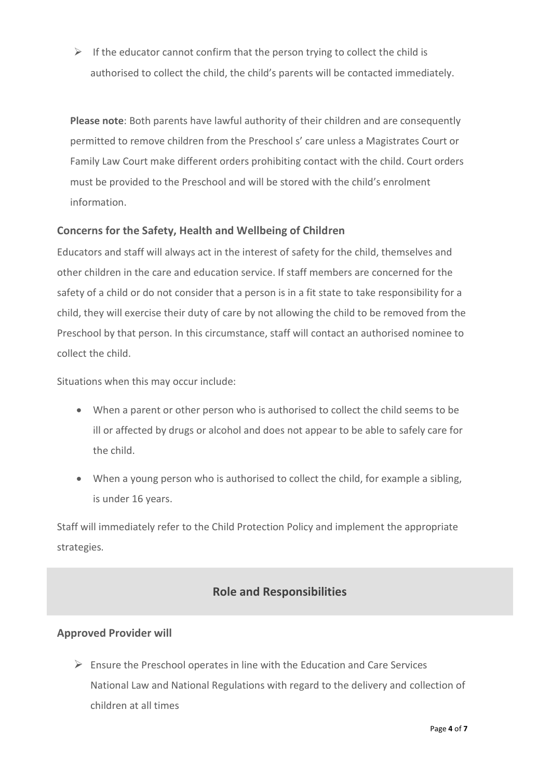$\triangleright$  If the educator cannot confirm that the person trying to collect the child is authorised to collect the child, the child's parents will be contacted immediately.

**Please note**: Both parents have lawful authority of their children and are consequently permitted to remove children from the Preschool s' care unless a Magistrates Court or Family Law Court make different orders prohibiting contact with the child. Court orders must be provided to the Preschool and will be stored with the child's enrolment information.

### **Concerns for the Safety, Health and Wellbeing of Children**

Educators and staff will always act in the interest of safety for the child, themselves and other children in the care and education service. If staff members are concerned for the safety of a child or do not consider that a person is in a fit state to take responsibility for a child, they will exercise their duty of care by not allowing the child to be removed from the Preschool by that person. In this circumstance, staff will contact an authorised nominee to collect the child.

Situations when this may occur include:

- When a parent or other person who is authorised to collect the child seems to be ill or affected by drugs or alcohol and does not appear to be able to safely care for the child.
- When a young person who is authorised to collect the child, for example a sibling, is under 16 years.

Staff will immediately refer to the Child Protection Policy and implement the appropriate strategies.

# **Role and Responsibilities**

### **Approved Provider will**

 $\triangleright$  Ensure the Preschool operates in line with the Education and Care Services National Law and National Regulations with regard to the delivery and collection of children at all times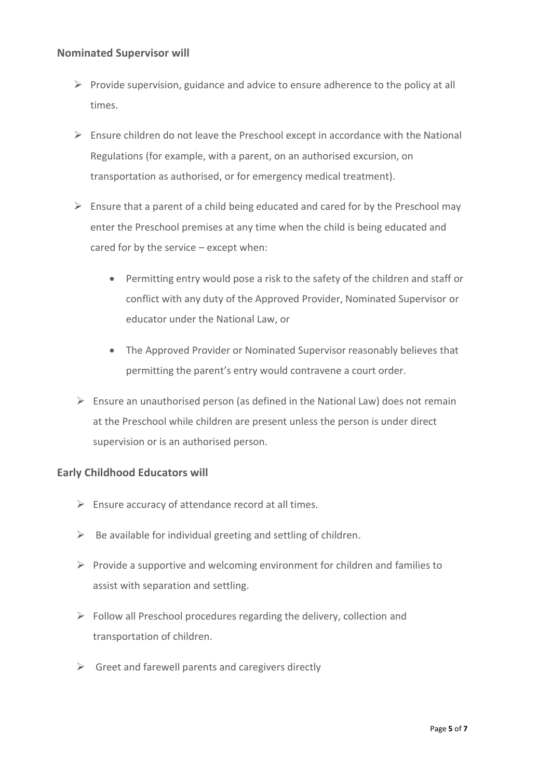#### **Nominated Supervisor will**

- $\triangleright$  Provide supervision, guidance and advice to ensure adherence to the policy at all times.
- $\triangleright$  Ensure children do not leave the Preschool except in accordance with the National Regulations (for example, with a parent, on an authorised excursion, on transportation as authorised, or for emergency medical treatment).
- $\triangleright$  Ensure that a parent of a child being educated and cared for by the Preschool may enter the Preschool premises at any time when the child is being educated and cared for by the service – except when:
	- Permitting entry would pose a risk to the safety of the children and staff or conflict with any duty of the Approved Provider, Nominated Supervisor or educator under the National Law, or
	- The Approved Provider or Nominated Supervisor reasonably believes that permitting the parent's entry would contravene a court order.
- $\triangleright$  Ensure an unauthorised person (as defined in the National Law) does not remain at the Preschool while children are present unless the person is under direct supervision or is an authorised person.

### **Early Childhood Educators will**

- $\triangleright$  Ensure accuracy of attendance record at all times.
- $\triangleright$  Be available for individual greeting and settling of children.
- $\triangleright$  Provide a supportive and welcoming environment for children and families to assist with separation and settling.
- $\triangleright$  Follow all Preschool procedures regarding the delivery, collection and transportation of children.
- $\triangleright$  Greet and farewell parents and caregivers directly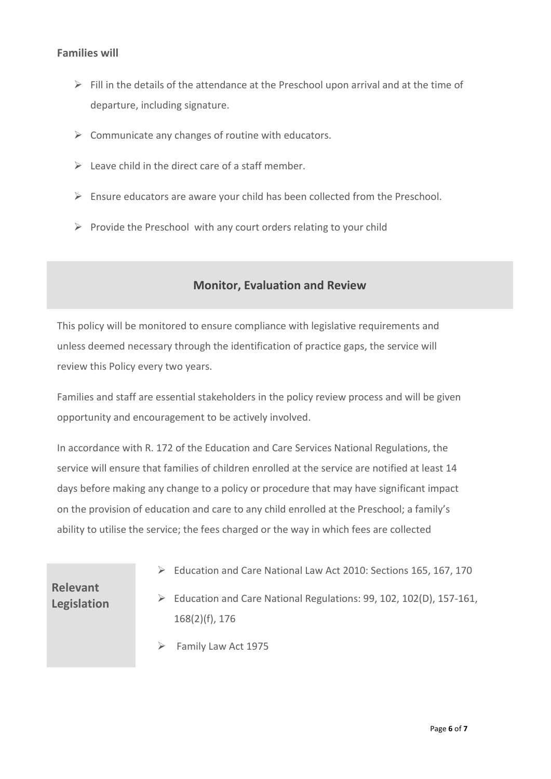### **Families will**

- $\triangleright$  Fill in the details of the attendance at the Preschool upon arrival and at the time of departure, including signature.
- $\triangleright$  Communicate any changes of routine with educators.
- $\triangleright$  Leave child in the direct care of a staff member.
- ➢ Ensure educators are aware your child has been collected from the Preschool.
- $\triangleright$  Provide the Preschool with any court orders relating to your child

## **Monitor, Evaluation and Review**

This policy will be monitored to ensure compliance with legislative requirements and unless deemed necessary through the identification of practice gaps, the service will review this Policy every two years.

Families and staff are essential stakeholders in the policy review process and will be given opportunity and encouragement to be actively involved.

In accordance with R. 172 of the Education and Care Services National Regulations, the service will ensure that families of children enrolled at the service are notified at least 14 days before making any change to a policy or procedure that may have significant impact on the provision of education and care to any child enrolled at the Preschool; a family's ability to utilise the service; the fees charged or the way in which fees are collected

➢ Education and Care National Law Act 2010: Sections 165, 167, 170

**Relevant Legislation**

- ➢ Education and Care National Regulations: 99, 102, 102(D), 157-161, 168(2)(f), 176
- ➢ Family Law Act 1975